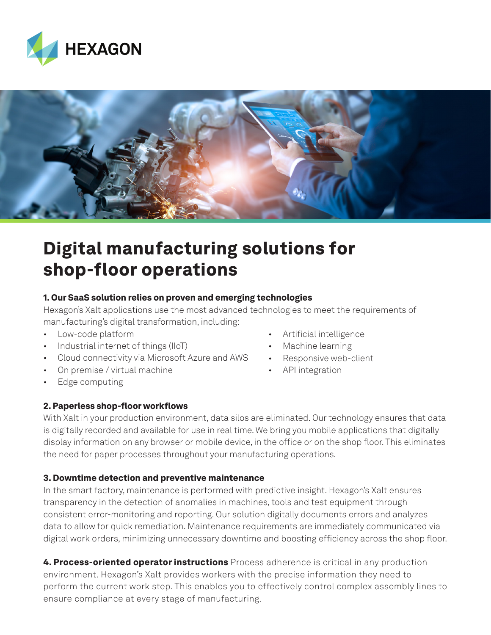



# Digital manufacturing solutions for shop-floor operations

# 1. Our SaaS solution relies on proven and emerging technologies

Hexagon's Xalt applications use the most advanced technologies to meet the requirements of manufacturing's digital transformation, including:

- Low-code platform
- Industrial internet of things (IIoT)
- Cloud connectivity via Microsoft Azure and AWS
- On premise / virtual machine
- Edge computing

## 2. Paperless shop-floor workflows

- Artificial intelligence
- Machine learning
- Responsive web-client
- API integration

With Xalt in your production environment, data silos are eliminated. Our technology ensures that data is digitally recorded and available for use in real time. We bring you mobile applications that digitally display information on any browser or mobile device, in the office or on the shop floor. This eliminates the need for paper processes throughout your manufacturing operations.

# 3. Downtime detection and preventive maintenance

In the smart factory, maintenance is performed with predictive insight. Hexagon's Xalt ensures transparency in the detection of anomalies in machines, tools and test equipment through consistent error-monitoring and reporting. Our solution digitally documents errors and analyzes data to allow for quick remediation. Maintenance requirements are immediately communicated via digital work orders, minimizing unnecessary downtime and boosting efficiency across the shop floor.

4. Process-oriented operator instructions Process adherence is critical in any production environment. Hexagon's Xalt provides workers with the precise information they need to perform the current work step. This enables you to effectively control complex assembly lines to ensure compliance at every stage of manufacturing.